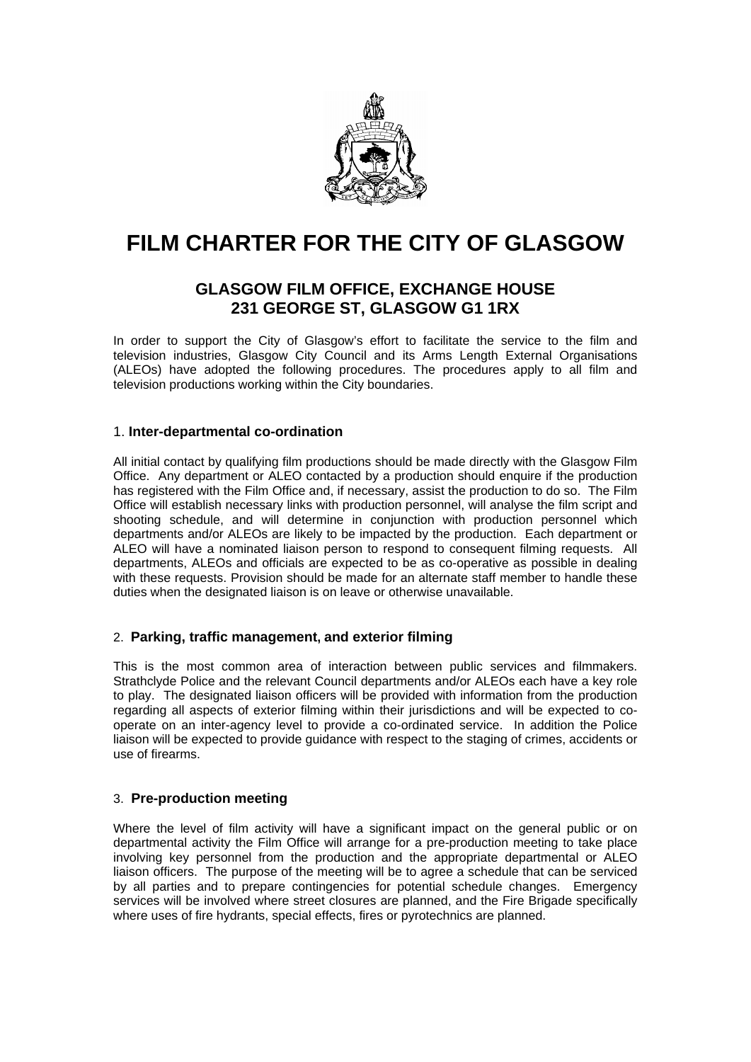

# **FILM CHARTER FOR THE CITY OF GLASGOW**

# **GLASGOW FILM OFFICE, EXCHANGE HOUSE 231 GEORGE ST, GLASGOW G1 1RX**

In order to support the City of Glasgow's effort to facilitate the service to the film and television industries, Glasgow City Council and its Arms Length External Organisations (ALEOs) have adopted the following procedures. The procedures apply to all film and television productions working within the City boundaries.

# 1. **Inter-departmental co-ordination**

All initial contact by qualifying film productions should be made directly with the Glasgow Film Office. Any department or ALEO contacted by a production should enquire if the production has registered with the Film Office and, if necessary, assist the production to do so. The Film Office will establish necessary links with production personnel, will analyse the film script and shooting schedule, and will determine in conjunction with production personnel which departments and/or ALEOs are likely to be impacted by the production. Each department or ALEO will have a nominated liaison person to respond to consequent filming requests. All departments, ALEOs and officials are expected to be as co-operative as possible in dealing with these requests. Provision should be made for an alternate staff member to handle these duties when the designated liaison is on leave or otherwise unavailable.

#### 2. **Parking, traffic management, and exterior filming**

This is the most common area of interaction between public services and filmmakers. Strathclyde Police and the relevant Council departments and/or ALEOs each have a key role to play. The designated liaison officers will be provided with information from the production regarding all aspects of exterior filming within their jurisdictions and will be expected to cooperate on an inter-agency level to provide a co-ordinated service. In addition the Police liaison will be expected to provide guidance with respect to the staging of crimes, accidents or use of firearms.

#### 3. **Pre-production meeting**

Where the level of film activity will have a significant impact on the general public or on departmental activity the Film Office will arrange for a pre-production meeting to take place involving key personnel from the production and the appropriate departmental or ALEO liaison officers. The purpose of the meeting will be to agree a schedule that can be serviced by all parties and to prepare contingencies for potential schedule changes. Emergency services will be involved where street closures are planned, and the Fire Brigade specifically where uses of fire hydrants, special effects, fires or pyrotechnics are planned.